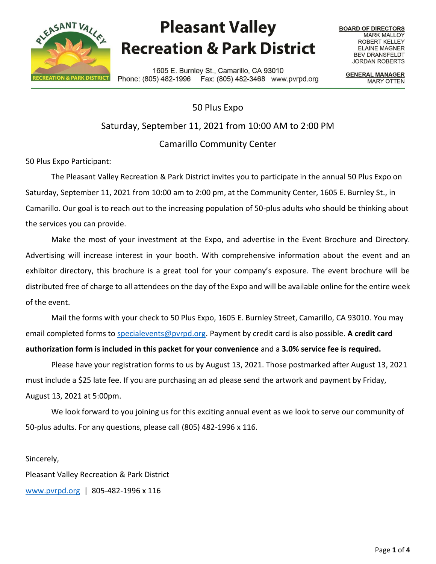

## **Pleasant Valley Recreation & Park District**

**BOARD OF DIRECTORS MARK MALLOY** ROBERT KELLEY **ELAINE MAGNER BEV DRANSFELDT JORDAN ROBERTS** 

1605 E. Burnley St., Camarillo, CA 93010 Phone: (805) 482-1996 Fax: (805) 482-3468 www.pvrpd.org

**GENERAL MANAGER MARY OTTEN** 

50 Plus Expo Saturday, September 11, 2021 from 10:00 AM to 2:00 PM Camarillo Community Center

50 Plus Expo Participant:

The Pleasant Valley Recreation & Park District invites you to participate in the annual 50 Plus Expo on Saturday, September 11, 2021 from 10:00 am to 2:00 pm, at the Community Center, 1605 E. Burnley St., in Camarillo. Our goal is to reach out to the increasing population of 50-plus adults who should be thinking about the services you can provide.

Make the most of your investment at the Expo, and advertise in the Event Brochure and Directory. Advertising will increase interest in your booth. With comprehensive information about the event and an exhibitor directory, this brochure is a great tool for your company's exposure. The event brochure will be distributed free of charge to all attendees on the day of the Expo and will be available online for the entire week of the event.

Mail the forms with your check to 50 Plus Expo, 1605 E. Burnley Street, Camarillo, CA 93010. You may email completed forms to [specialevents@pvrpd.org.](mailto:specialevents@pvrpd.org) Payment by credit card is also possible. **A credit card authorization form is included in this packet for your convenience** and a **3.0% service fee is required.**

Please have your registration forms to us by August 13, 2021. Those postmarked after August 13, 2021 must include a \$25 late fee. If you are purchasing an ad please send the artwork and payment by Friday, August 13, 2021 at 5:00pm.

We look forward to you joining us for this exciting annual event as we look to serve our community of 50-plus adults. For any questions, please call (805) 482-1996 x 116.

Sincerely,

Pleasant Valley Recreation & Park District

[www.pvrpd.org](http://www.pvrpd.org/) | 805-482-1996 x 116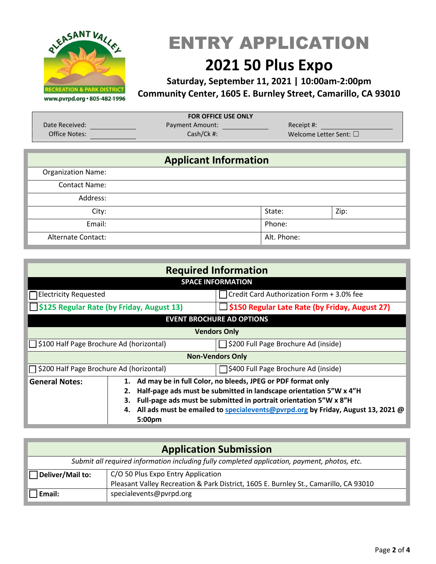

# ENTRY APPLICATION

## **2021 50 Plus Expo**

#### **Saturday, September 11, 2021 | 10:00am-2:00pm Community Center, 1605 E. Burnley Street, Camarillo, CA 93010**

| <b>FOR OFFICE USE ONLY</b> |                        |                             |  |  |  |  |
|----------------------------|------------------------|-----------------------------|--|--|--|--|
| Date Received:             | <b>Payment Amount:</b> | Receipt #:                  |  |  |  |  |
| <b>Office Notes:</b>       | Cash/Ck #:             | Welcome Letter Sent: $\Box$ |  |  |  |  |

### **Applicant Information** Organization Name: Contact Name: Address: City:  $\qquad \qquad$  State:  $\qquad \qquad$  Zip: Email: Phone: Alternate Contact: Alternate Contact: Alternate Contact: Alternate Contact: Alternate Contact: Alternate Contact:

| <b>Required Information</b>                                                       |                                                                                                                                                                                                                                                                                                                             |                                                  |  |  |
|-----------------------------------------------------------------------------------|-----------------------------------------------------------------------------------------------------------------------------------------------------------------------------------------------------------------------------------------------------------------------------------------------------------------------------|--------------------------------------------------|--|--|
| <b>SPACE INFORMATION</b>                                                          |                                                                                                                                                                                                                                                                                                                             |                                                  |  |  |
| $\Box$ Electricity Requested                                                      |                                                                                                                                                                                                                                                                                                                             | Credit Card Authorization Form + 3.0% fee        |  |  |
| S125 Regular Rate (by Friday, August 13)                                          |                                                                                                                                                                                                                                                                                                                             | □ \$150 Regular Late Rate (by Friday, August 27) |  |  |
| <b>EVENT BROCHURE AD OPTIONS</b>                                                  |                                                                                                                                                                                                                                                                                                                             |                                                  |  |  |
| <b>Vendors Only</b>                                                               |                                                                                                                                                                                                                                                                                                                             |                                                  |  |  |
| □ \$100 Half Page Brochure Ad (horizontal)                                        |                                                                                                                                                                                                                                                                                                                             | □ \$200 Full Page Brochure Ad (inside)           |  |  |
| <b>Non-Vendors Only</b>                                                           |                                                                                                                                                                                                                                                                                                                             |                                                  |  |  |
| □ \$200 Half Page Brochure Ad (horizontal)<br>S400 Full Page Brochure Ad (inside) |                                                                                                                                                                                                                                                                                                                             |                                                  |  |  |
| <b>General Notes:</b>                                                             | Ad may be in full Color, no bleeds, JPEG or PDF format only<br>1.<br>Half-page ads must be submitted in landscape orientation 5"W x 4"H<br>2.<br>Full-page ads must be submitted in portrait orientation 5"W x 8"H<br>З.<br>All ads must be emailed to specialevents@pvrpd.org by Friday, August 13, 2021 @<br>4.<br>5:00pm |                                                  |  |  |

| <b>Application Submission</b>                                                                |                                                                                      |  |  |  |
|----------------------------------------------------------------------------------------------|--------------------------------------------------------------------------------------|--|--|--|
| Submit all required information including fully completed application, payment, photos, etc. |                                                                                      |  |  |  |
| C/O 50 Plus Expo Entry Application<br>Deliver/Mail to:                                       |                                                                                      |  |  |  |
|                                                                                              | Pleasant Valley Recreation & Park District, 1605 E. Burnley St., Camarillo, CA 93010 |  |  |  |
| Email:                                                                                       | specialevents@pvrpd.org                                                              |  |  |  |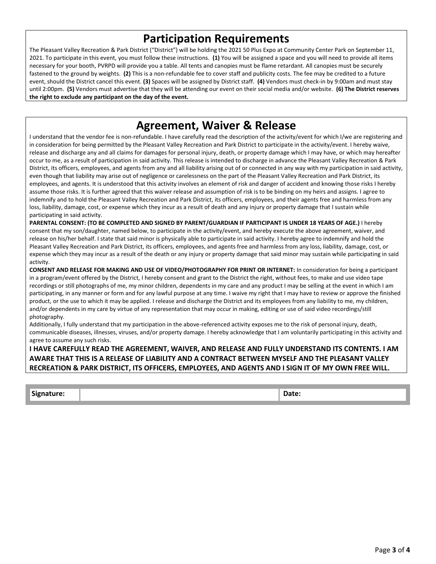#### **Participation Requirements**

The Pleasant Valley Recreation & Park District ("District") will be holding the 2021 50 Plus Expo at Community Center Park on September 11, 2021. To participate in this event, you must follow these instructions. **(1)** You will be assigned a space and you will need to provide all items necessary for your booth, PVRPD will provide you a table. All tents and canopies must be flame retardant. All canopies must be securely fastened to the ground by weights. **(2)** This is a non-refundable fee to cover staff and publicity costs. The fee may be credited to a future event, should the District cancel this event. **(3)** Spaces will be assigned by District staff. **(4)** Vendors must check-in by 9:00am and must stay until 2:00pm. **(5)** Vendors must advertise that they will be attending our event on their social media and/or website. **(6) The District reserves the right to exclude any participant on the day of the event.**

#### **Agreement, Waiver & Release**

I understand that the vendor fee is non-refundable. I have carefully read the description of the activity/event for which I/we are registering and in consideration for being permitted by the Pleasant Valley Recreation and Park District to participate in the activity/event. I hereby waive, release and discharge any and all claims for damages for personal injury, death, or property damage which I may have, or which may hereafter occur to me, as a result of participation in said activity. This release is intended to discharge in advance the Pleasant Valley Recreation & Park District, its officers, employees, and agents from any and all liability arising out of or connected in any way with my participation in said activity, even though that liability may arise out of negligence or carelessness on the part of the Pleasant Valley Recreation and Park District, its employees, and agents. It is understood that this activity involves an element of risk and danger of accident and knowing those risks I hereby assume those risks. It is further agreed that this waiver release and assumption of risk is to be binding on my heirs and assigns. I agree to indemnify and to hold the Pleasant Valley Recreation and Park District, its officers, employees, and their agents free and harmless from any loss, liability, damage, cost, or expense which they incur as a result of death and any injury or property damage that I sustain while participating in said activity.

**PARENTAL CONSENT: (TO BE COMPLETED AND SIGNED BY PARENT/GUARDIAN IF PARTICIPANT IS UNDER 18 YEARS OF AGE.)** I hereby consent that my son/daughter, named below, to participate in the activity/event, and hereby execute the above agreement, waiver, and release on his/her behalf. I state that said minor is physically able to participate in said activity. I hereby agree to indemnify and hold the Pleasant Valley Recreation and Park District, its officers, employees, and agents free and harmless from any loss, liability, damage, cost, or expense which they may incur as a result of the death or any injury or property damage that said minor may sustain while participating in said activity.

**CONSENT AND RELEASE FOR MAKING AND USE OF VIDEO/PHOTOGRAPHY FOR PRINT OR INTERNET:** In consideration for being a participant in a program/event offered by the District, I hereby consent and grant to the District the right, without fees, to make and use video tape recordings or still photographs of me, my minor children, dependents in my care and any product I may be selling at the event in which I am participating, in any manner or form and for any lawful purpose at any time. I waive my right that I may have to review or approve the finished product, or the use to which it may be applied. I release and discharge the District and its employees from any liability to me, my children, and/or dependents in my care by virtue of any representation that may occur in making, editing or use of said video recordings/still photography.

Additionally, I fully understand that my participation in the above-referenced activity exposes me to the risk of personal injury, death, communicable diseases, illnesses, viruses, and/or property damage. I hereby acknowledge that I am voluntarily participating in this activity and agree to assume any such risks.

#### **I HAVE CAREFULLY READ THE AGREEMENT, WAIVER, AND RELEASE AND FULLY UNDERSTAND ITS CONTENTS. I AM AWARE THAT THIS IS A RELEASE OF LIABILITY AND A CONTRACT BETWEEN MYSELF AND THE PLEASANT VALLEY RECREATION & PARK DISTRICT, ITS OFFICERS, EMPLOYEES, AND AGENTS AND I SIGN IT OF MY OWN FREE WILL.**

| <sup>1</sup> Signature: | -<br>vate: |
|-------------------------|------------|